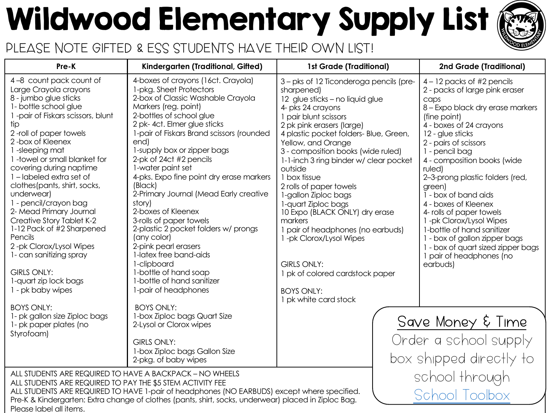# Wildwood Elementary Supply List

#### PLEASE NOTE GIFTED & ESS STUDENTS HAVE THEIR OWN LIST!

| Pre-K                                                                                                                                                                                                                                                                                                                                                                                                                                                                                                                                                                                                                                                                                               | Kindergarten (Traditional, Gifted)                                                                                                                                                                                                                                                                                                                                                                                                                                                                                                                                                                                                                                                                                                                                                                                                                   | <b>1st Grade (Traditional)</b>                                                                                                                                                                                                                                                                                                                                                                                                                                                                                                                                                                                                               | 2nd Grd                                                                                                                                                                                                                                                                                                                                                                                                   |
|-----------------------------------------------------------------------------------------------------------------------------------------------------------------------------------------------------------------------------------------------------------------------------------------------------------------------------------------------------------------------------------------------------------------------------------------------------------------------------------------------------------------------------------------------------------------------------------------------------------------------------------------------------------------------------------------------------|------------------------------------------------------------------------------------------------------------------------------------------------------------------------------------------------------------------------------------------------------------------------------------------------------------------------------------------------------------------------------------------------------------------------------------------------------------------------------------------------------------------------------------------------------------------------------------------------------------------------------------------------------------------------------------------------------------------------------------------------------------------------------------------------------------------------------------------------------|----------------------------------------------------------------------------------------------------------------------------------------------------------------------------------------------------------------------------------------------------------------------------------------------------------------------------------------------------------------------------------------------------------------------------------------------------------------------------------------------------------------------------------------------------------------------------------------------------------------------------------------------|-----------------------------------------------------------------------------------------------------------------------------------------------------------------------------------------------------------------------------------------------------------------------------------------------------------------------------------------------------------------------------------------------------------|
| 4-8 count pack count of<br>Large Crayola crayons<br>8 - jumbo glue sticks<br>1- bottle school glue<br>1-pair of Fiskars scissors, blunt<br>tip<br>2-roll of paper towels<br>2-box of Kleenex<br>1-sleeping mat<br>1-towel or small blanket for<br>covering during naptime<br>1-labeled extra set of<br>clothes (pants, shirt, socks,<br>underwear)<br>1 - pencil/crayon bag<br>2- Mead Primary Journal<br>Creative Story Tablet K-2<br>1-12 Pack of #2 Sharpened<br>Pencils<br>2-pk Clorox/Lysol Wipes<br>1- can sanitizing spray<br><b>GIRLS ONLY:</b><br>1-quart zip lock bags<br>1 - pk baby wipes<br><b>BOYS ONLY:</b><br>1- pk gallon size Ziploc bags<br>1- pk paper plates (no<br>Styrofoam) | 4-boxes of crayons (16ct. Crayola)<br>1-pkg. Sheet Protectors<br>2-box of Classic Washable Crayola<br>Markers (reg. point)<br>2-bottles of school glue<br>2 pk-4ct. Elmer glue sticks<br>1-pair of Fiskars Brand scissors (rounded<br>end)<br>1-supply box or zipper bags<br>2-pk of 24ct #2 pencils<br>1-water paint set<br>4-pks. Expo fine point dry erase markers<br>(Black)<br>2-Primary Journal (Mead Early creative<br>story)<br>2-boxes of Kleenex<br>3-rolls of paper towels<br>2-plastic 2 pocket folders w/ prongs<br>(any color)<br>2-pink pearl erasers<br>1-latex free band-aids<br>1-clipboard<br>1-bottle of hand soap<br>1-bottle of hand sanitizer<br>1-pair of headphones<br><b>BOYS ONLY:</b><br>1-box Ziploc bags Quart Size<br>2-Lysol or Clorox wipes<br>GIRLS ONLY:<br>1-box Ziploc bags Gallon Size<br>2-pkg. of baby wipes | 3 - pks of 12 Ticonderoga pencils (pre-<br>sharpened)<br>12 glue sticks - no liquid glue<br>4- pks 24 crayons<br>1 pair blunt scissors<br>2 pk pink erasers (large)<br>4 plastic pocket folders- Blue, Green,<br>Yellow, and Orange<br>3 - composition books (wide ruled)<br>1-1-inch 3 ring binder w/ clear pocket<br>outside<br>1 box tissue<br>2 rolls of paper towels<br>1-gallon Ziploc bags<br>1-quart Ziploc bags<br>10 Expo (BLACK ONLY) dry erase<br>markers<br>1 pair of headphones (no earbuds)<br>1-pk Clorox/Lysol Wipes<br><b>GIRLS ONLY:</b><br>1 pk of colored cardstock paper<br><b>BOYS ONLY:</b><br>1 pk white card stock | $4 - 12$ packs<br>2 - packs of I<br>caps<br>8 - Expo blac<br>(fine point)<br>4 - boxes of 2<br>12 - glue sticl<br>2 - pairs of sc<br>1 - pencil ba<br>4 - compositi<br>ruled)<br>2-3-prong pl<br>green)<br>1 - box of ba<br>4 - boxes of k<br>4- rolls of pap<br>1-pk Clorox/<br>1-bottle of ho<br>1 - box of ga<br>1 - box of qu<br>1 pair of hea<br>earbuds)<br>Save Mone<br>Order a sch<br>box shipped |
| ALL STUDENTS ARE REQUIRED TO HAVE A BACKPACK - NO WHEELS<br>ALL STUDENTS ARE REQUIRED TO PAY THE \$5 STEM ACTIVITY FEE                                                                                                                                                                                                                                                                                                                                                                                                                                                                                                                                                                              | ALL STUDENTS ARE REQUIRED TO HAVE 1-pair of headphones (NO EARBUDS) except where specified.                                                                                                                                                                                                                                                                                                                                                                                                                                                                                                                                                                                                                                                                                                                                                          |                                                                                                                                                                                                                                                                                                                                                                                                                                                                                                                                                                                                                                              | school th                                                                                                                                                                                                                                                                                                                                                                                                 |
| Please label all items.                                                                                                                                                                                                                                                                                                                                                                                                                                                                                                                                                                                                                                                                             | Pre-K & Kindergarten: Extra change of clothes (pants, shirt, socks, underwear) placed in Ziploc Bag.                                                                                                                                                                                                                                                                                                                                                                                                                                                                                                                                                                                                                                                                                                                                                 |                                                                                                                                                                                                                                                                                                                                                                                                                                                                                                                                                                                                                                              | School                                                                                                                                                                                                                                                                                                                                                                                                    |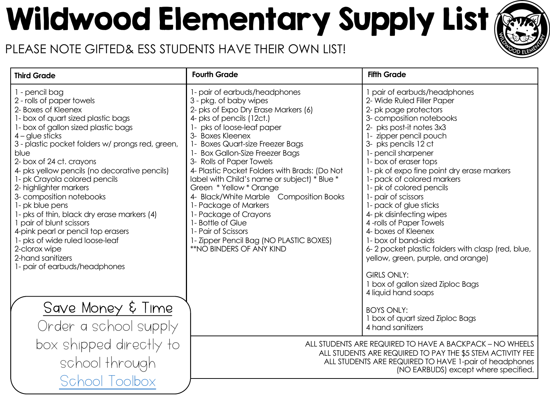## Wildwood Elementary Supply List

#### PLEASE NOTE GIFTED& ESS STUDENTS HAVE THEIR OWN LIST!

| <b>Third Grade</b>                                                                                                                                                                                                                                                                                                                                                                                                                                                                                                                                                                                                                                 | <b>Fourth Grade</b>                                                                                                                                                                                                                                                                                                                                                                                                                                                                                                                                                                                                           | <b>Fifth Grade</b>                                                                                                                                                                                                                                                                                                                                                                                                                                                                                                                                                                                                                                |
|----------------------------------------------------------------------------------------------------------------------------------------------------------------------------------------------------------------------------------------------------------------------------------------------------------------------------------------------------------------------------------------------------------------------------------------------------------------------------------------------------------------------------------------------------------------------------------------------------------------------------------------------------|-------------------------------------------------------------------------------------------------------------------------------------------------------------------------------------------------------------------------------------------------------------------------------------------------------------------------------------------------------------------------------------------------------------------------------------------------------------------------------------------------------------------------------------------------------------------------------------------------------------------------------|---------------------------------------------------------------------------------------------------------------------------------------------------------------------------------------------------------------------------------------------------------------------------------------------------------------------------------------------------------------------------------------------------------------------------------------------------------------------------------------------------------------------------------------------------------------------------------------------------------------------------------------------------|
| 1 - pencil bag<br>2 - rolls of paper towels<br>2- Boxes of Kleenex<br>1- box of quart sized plastic bags<br>1- box of gallon sized plastic bags<br>$4 -$ glue sticks<br>3 - plastic pocket folders w/ prongs red, green,<br>blue<br>2- box of 24 ct. crayons<br>4- pks yellow pencils (no decorative pencils)<br>1- pk Crayola colored pencils<br>2- highlighter markers<br>3- composition notebooks<br>1- pk blue pens<br>1- pks of thin, black dry erase markers (4)<br>1 pair of blunt scissors<br>4-pink pearl or pencil top erasers<br>1- pks of wide ruled loose-leaf<br>2-clorox wipe<br>2-hand sanitizers<br>1- pair of earbuds/headphones | 1- pair of earbuds/headphones<br>3 - pkg. of baby wipes<br>2- pks of Expo Dry Erase Markers (6)<br>4- pks of pencils (12ct.)<br>1- pks of loose-leaf paper<br>3- Boxes Kleenex<br>1- Boxes Quart-size Freezer Bags<br>1- Box Gallon-Size Freezer Bags<br>3- Rolls of Paper Towels<br>4- Plastic Pocket Folders with Brads: (Do Not<br>label with Child's name or subject) * Blue *<br>Green * Yellow * Orange<br>4- Black/White Marble Composition Books<br>1- Package of Markers<br>1- Package of Crayons<br>1- Bottle of Glue<br>1- Pair of Scissors<br>1- Zipper Pencil Bag (NO PLASTIC BOXES)<br>**NO BINDERS OF ANY KIND | 1 pair of earbuds/headphon<br>2- Wide Ruled Filler Paper<br>2- pk page protectors<br>3- composition notebooks<br>2- pks post-it notes 3x3<br>1- zipper pencil pouch<br>3- pks pencils 12 ct<br>1- pencil sharpener<br>1- box of eraser tops<br>1- pk of expo fine point dry er<br>1- pack of colored markers<br>1- pk of colored pencils<br>1- pair of scissors<br>1- pack of glue sticks<br>4- pk disinfecting wipes<br>4-rolls of Paper Towels<br>4- boxes of Kleenex<br>1- box of band-aids<br>6-2 pocket plastic folders wit<br>yellow, green, purple, and or<br><b>GIRLS ONLY:</b><br>1 box of gallon sized Ziploc Bo<br>4 liquid hand soaps |
| Save Money & Time<br>Order a school supply                                                                                                                                                                                                                                                                                                                                                                                                                                                                                                                                                                                                         |                                                                                                                                                                                                                                                                                                                                                                                                                                                                                                                                                                                                                               | <b>BOYS ONLY:</b><br>1 box of quart sized Ziploc Ba<br>4 hand sanitizers                                                                                                                                                                                                                                                                                                                                                                                                                                                                                                                                                                          |
| box shipped directly to<br>school through                                                                                                                                                                                                                                                                                                                                                                                                                                                                                                                                                                                                          | ALL STUDENTS ARE REQUIRED TO HAVE A BACKI<br>ALL STUDENTS ARE REQUIRED TO PAY THE \$!<br>ALL STUDENTS ARE REQUIRED TO HAVE 1-p<br>(NO EARBUDS) excel                                                                                                                                                                                                                                                                                                                                                                                                                                                                          |                                                                                                                                                                                                                                                                                                                                                                                                                                                                                                                                                                                                                                                   |
| School Toolbox                                                                                                                                                                                                                                                                                                                                                                                                                                                                                                                                                                                                                                     |                                                                                                                                                                                                                                                                                                                                                                                                                                                                                                                                                                                                                               |                                                                                                                                                                                                                                                                                                                                                                                                                                                                                                                                                                                                                                                   |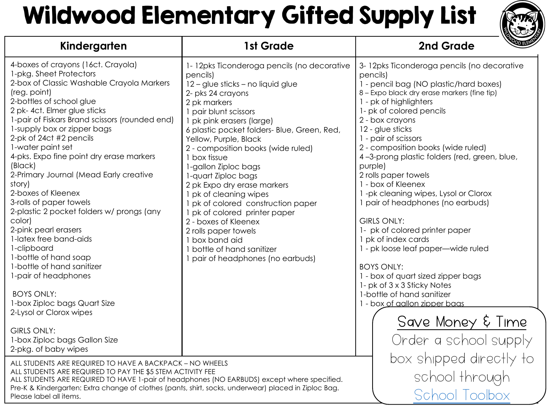### Wildwood Elementary Gifted Supply Lis

| Kindergarten                                                                                                                                                                                                                                                                                                                                                                                                                                                                                                                                                                                                                                                                                                                                                                                                                                             | 1st Grade                                                                                                                                                                                                                                                                                                                                                                                                                                                                                                                                                                                                                                | 2nd Grad                                                                                                                                                                                                                                                                                                                                                                                                                                                                                                                                                                                                                                                                                                                 |
|----------------------------------------------------------------------------------------------------------------------------------------------------------------------------------------------------------------------------------------------------------------------------------------------------------------------------------------------------------------------------------------------------------------------------------------------------------------------------------------------------------------------------------------------------------------------------------------------------------------------------------------------------------------------------------------------------------------------------------------------------------------------------------------------------------------------------------------------------------|------------------------------------------------------------------------------------------------------------------------------------------------------------------------------------------------------------------------------------------------------------------------------------------------------------------------------------------------------------------------------------------------------------------------------------------------------------------------------------------------------------------------------------------------------------------------------------------------------------------------------------------|--------------------------------------------------------------------------------------------------------------------------------------------------------------------------------------------------------------------------------------------------------------------------------------------------------------------------------------------------------------------------------------------------------------------------------------------------------------------------------------------------------------------------------------------------------------------------------------------------------------------------------------------------------------------------------------------------------------------------|
| 4-boxes of crayons (16ct. Crayola)<br>1-pkg. Sheet Protectors<br>2-box of Classic Washable Crayola Markers<br>(reg. point)<br>2-bottles of school glue<br>2 pk-4ct. Elmer glue sticks<br>1-pair of Fiskars Brand scissors (rounded end)<br>1-supply box or zipper bags<br>2-pk of 24ct #2 pencils<br>1-water paint set<br>4-pks. Expo fine point dry erase markers<br>(Black)<br>2-Primary Journal (Mead Early creative<br>story)<br>2-boxes of Kleenex<br>3-rolls of paper towels<br>2-plastic 2 pocket folders w/ prongs (any<br>color)<br>2-pink pearl erasers<br>1-latex free band-aids<br>1-clipboard<br>1-bottle of hand soap<br>1-bottle of hand sanitizer<br>1-pair of headphones<br><b>BOYS ONLY:</b><br>1-box Ziploc bags Quart Size<br>2-Lysol or Clorox wipes<br><b>GIRLS ONLY:</b><br>1-box Ziploc bags Gallon Size<br>2-pkg. of baby wipes | 1-12pks Ticonderoga pencils (no decorative<br>pencils)<br>12 - glue sticks - no liquid glue<br>2- pks 24 crayons<br>2 pk markers<br>1 pair blunt scissors<br>1 pk pink erasers (large)<br>6 plastic pocket folders- Blue, Green, Red,<br>Yellow, Purple, Black<br>2 - composition books (wide ruled)<br>1 box tissue<br>1-gallon Ziploc bags<br>1-quart Ziploc bags<br>2 pk Expo dry erase markers<br>1 pk of cleaning wipes<br>1 pk of colored construction paper<br>1 pk of colored printer paper<br>2 - boxes of Kleenex<br>2 rolls paper towels<br>1 box band aid<br>1 bottle of hand sanitizer<br>1 pair of headphones (no earbuds) | 3-12 pks Ticonderoga pencils<br>pencils)<br>1 - pencil bag (NO plastic/ha<br>8 - Expo black dry erase markers<br>1 - pk of highlighters<br>1- pk of colored pencils<br>2 - box crayons<br>12 - glue sticks<br>1 - pair of scissors<br>2 - composition books (wide r<br>4-3-prong plastic folders (red<br>purple)<br>2 rolls paper towels<br>1 - box of Kleenex<br>1-pk cleaning wipes, Lysol or<br>1 pair of headphones (no ear<br>GIRLS ONLY:<br>1- pk of colored printer pape<br>1 pk of index cards<br>1 - pk loose leaf paper—wide<br><b>BOYS ONLY:</b><br>1 - box of quart sized zipper b<br>1- pk of 3 x 3 Sticky Notes<br>1-bottle of hand sanitizer<br>1 - box of aallon zipper baas<br>Save Mone<br>Order a sch |
| ALL STUDENTS ARE REQUIRED TO HAVE A BACKPACK - NO WHEELS<br>ALL STUDENTS ARE REQUIRED TO PAY THE \$5 STEM ACTIVITY FEE<br>ALL STUDENTS ARE REQUIRED TO HAVE 1-pair of headphones (NO EARBUDS) except where specified.<br>Pre-K & Kindergarten: Extra change of clothes (pants, shirt, socks, underwear) placed in Ziploc Bag.<br>Please label all items.                                                                                                                                                                                                                                                                                                                                                                                                                                                                                                 |                                                                                                                                                                                                                                                                                                                                                                                                                                                                                                                                                                                                                                          | box shipped<br>school th<br>School                                                                                                                                                                                                                                                                                                                                                                                                                                                                                                                                                                                                                                                                                       |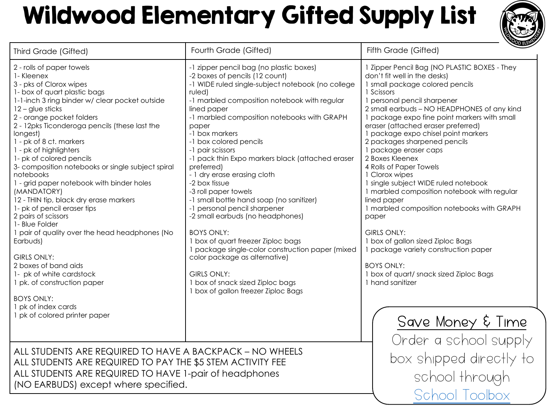### Wildwood Elementary Gifted Supply Lis

| Third Grade (Gifted)                                                                                                                                                                                                                                                                                                                                                                                                                                                                                                                                                                                                                                                                                                                                                                                                                                     | Fourth Grade (Gifted)                                                                                                                                                                                                                                                                                                                                                                                                                                                                                                                                                                                                                                                                                                                                                                                                                      | Fifth Grade (Gifted)                                                                                                                                                                                                                                                                                                                                                                                                                                                                                                                                                                                                                                                                                                                   |
|----------------------------------------------------------------------------------------------------------------------------------------------------------------------------------------------------------------------------------------------------------------------------------------------------------------------------------------------------------------------------------------------------------------------------------------------------------------------------------------------------------------------------------------------------------------------------------------------------------------------------------------------------------------------------------------------------------------------------------------------------------------------------------------------------------------------------------------------------------|--------------------------------------------------------------------------------------------------------------------------------------------------------------------------------------------------------------------------------------------------------------------------------------------------------------------------------------------------------------------------------------------------------------------------------------------------------------------------------------------------------------------------------------------------------------------------------------------------------------------------------------------------------------------------------------------------------------------------------------------------------------------------------------------------------------------------------------------|----------------------------------------------------------------------------------------------------------------------------------------------------------------------------------------------------------------------------------------------------------------------------------------------------------------------------------------------------------------------------------------------------------------------------------------------------------------------------------------------------------------------------------------------------------------------------------------------------------------------------------------------------------------------------------------------------------------------------------------|
| 2 - rolls of paper towels<br>1-Kleenex<br>3 - pks of Clorox wipes<br>1- box of quart plastic bags<br>1-1-inch 3 ring binder w/ clear pocket outside<br>$12 -$ glue sticks<br>2 - orange pocket folders<br>2 - 12pks Ticonderoga pencils (these last the<br>longest)<br>1 - pk of 8 ct. markers<br>1 - pk of highlighters<br>1- pk of colored pencils<br>3- composition notebooks or single subject spiral<br>notebooks<br>1 - grid paper notebook with binder holes<br>(MANDATORY)<br>12 - THIN tip, black dry erase markers<br>1- pk of pencil eraser tips<br>2 pairs of scissors<br>1- Blue Folder<br>I pair of quality over the head headphones (No<br>Earbuds)<br><b>GIRLS ONLY:</b><br>2 boxes of band aids<br>1- pk of white cardstock<br>1 pk. of construction paper<br><b>BOYS ONLY:</b><br>1 pk of index cards<br>1 pk of colored printer paper | -1 zipper pencil bag (no plastic boxes)<br>-2 boxes of pencils (12 count)<br>-1 WIDE ruled single-subject notebook (no college<br>ruled)<br>-1 marbled composition notebook with regular<br>lined paper<br>-1 marbled composition notebooks with GRAPH<br>paper<br>-1 box markers<br>-1 box colored pencils<br>-1 pair scissors<br>-1 pack thin Expo markers black (attached eraser<br>preferred)<br>- 1 dry erase erasing cloth<br>-2 box tissue<br>-3 roll paper towels<br>-1 small bottle hand soap (no sanitizer)<br>-1 personal pencil sharpener<br>-2 small earbuds (no headphones)<br><b>BOYS ONLY:</b><br>1 box of quart freezer Ziploc bags<br>1 package single-color construction paper (mixed<br>color package as alternative)<br><b>GIRLS ONLY:</b><br>1 box of snack sized Ziploc bags<br>1 box of gallon freezer Ziploc Bags | 1 Zipper Pencil Bag (NO PLASTIO<br>don't fit well in the desks)<br>1 small package colored penc<br>1 Scissors<br>1 personal pencil sharpener<br>2 small earbuds - NO HEADPHO<br>1 package expo fine point mail<br>eraser (attached eraser preferr<br>1 package expo chisel point m<br>2 packages sharpened pencils<br>1 package eraser caps<br>2 Boxes Kleenex<br>4 Rolls of Paper Towels<br>1 Clorox wipes<br>1 single subject WIDE ruled note<br>1 marbled composition notebo<br>lined paper<br>1 marbled composition notebo<br>paper<br>GIRLS ONLY:<br>1 box of gallon sized Ziploc Bag<br>1 package variety construction<br><b>BOYS ONLY:</b><br>1 box of quart/ snack sized Ziple<br>1 hand sanitizer<br>Save Mone<br>Order a sch |
| ALL STUDENTS ARE REQUIRED TO HAVE A BACKPACK - NO WHEELS<br>ALL STUDENTS ARE REQUIRED TO PAY THE \$5 STEM ACTIVITY FEE<br>ALL STUDENTS ARE REQUIRED TO HAVE 1-pair of headphones<br>(NO EARBUDS) except where specified.                                                                                                                                                                                                                                                                                                                                                                                                                                                                                                                                                                                                                                 | box shipped<br>school th                                                                                                                                                                                                                                                                                                                                                                                                                                                                                                                                                                                                                                                                                                                                                                                                                   |                                                                                                                                                                                                                                                                                                                                                                                                                                                                                                                                                                                                                                                                                                                                        |
|                                                                                                                                                                                                                                                                                                                                                                                                                                                                                                                                                                                                                                                                                                                                                                                                                                                          |                                                                                                                                                                                                                                                                                                                                                                                                                                                                                                                                                                                                                                                                                                                                                                                                                                            | School 7                                                                                                                                                                                                                                                                                                                                                                                                                                                                                                                                                                                                                                                                                                                               |